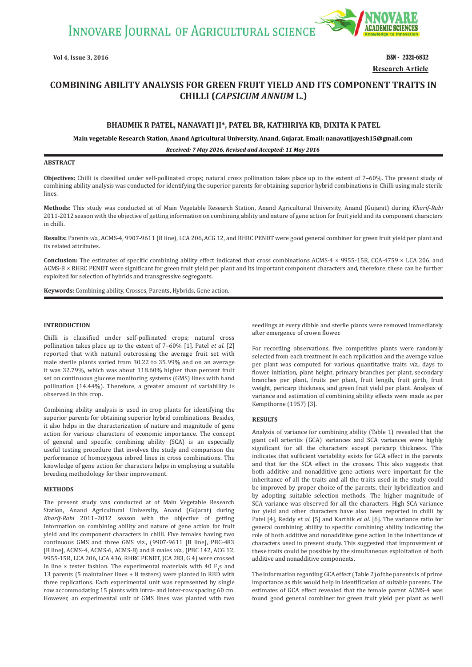**INNOVARE JOURNAL OF AGRICULTURAL SCIENCE** 



**Vol 4, Issue 3, 2016 ISSN - 2321-6832 Research Article**

# **COMBINING ABILITY ANALYSIS FOR GREEN FRUIT YIELD AND ITS COMPONENT TRAITS IN CHILLI ȍ***CAPSICUM ANNUM* **L.Ȏ**

## **BHAUMIK R PATEL, NANAVATI JI\*, PATEL BR, KATHIRIYA KB, DIXITA K PATEL**

**Main vegetable Research Station, Anand Agricultural University, Anand, Gujarat. Email: nanavatijayesh15@gmail.com**

*Received: 7 May 2016, Revised and Accepted: 11 May 2016*

## **ABSTRACT**

**Objectives:** Chilli is classified under self-pollinated crops; natural cross pollination takes place up to the extent of 7–60%. The present study of combining ability analysis was conducted for identifying the superior parents for obtaining superior hybrid combinations in Chilli using male sterile lines.

**Methods:** This study was conducted at of Main Vegetable Research Station, Anand Agricultural University, Anand (Gujarat) during *Kharif-Rabi* 2011*-*2012 season with the objective of getting information on combining ability and nature of gene action for fruit yield and its component characters in chilli.

**Results:** Parents *viz.,* ACMS-4, 9907-9611 (B line), LCA 206, ACG 12, and RHRC PENDT were good general combiner for green fruit yield per plant and its related attributes.

**Conclusion:** The estimates of specific combining ability effect indicated that cross combinations ACMS-4 × 9955-15R, CCA-4759 × LCA 206, and ACMS-8 × RHRC PENDT were significant for green fruit yield per plant and its important component characters and, therefore, these can be further exploited for selection of hybrids and transgressive segregants.

**Keywords:** Combining ability, Crosses, Parents, Hybrids, Gene action.

### **INTRODUCTION**

Chilli is classified under self-pollinated crops; natural cross pollination takes place up to the extent of 7–60% [1]. Patel *et al.* [2] reported that with natural outcrossing the average fruit set with male sterile plants varied from 30.22 to 35.99% and on an average it was 32.79%, which was about 118.60% higher than percent fruit set on continuous glucose monitoring systems (GMS) lines with hand pollination (14.44%). Therefore, a greater amount of variability is observed in this crop.

Combining ability analysis is used in crop plants for identifying the superior parents for obtaining superior hybrid combinations. Besides, it also helps in the characterization of nature and magnitude of gene action for various characters of economic importance. The concept of general and specific combining ability (SCA) is an especially useful testing procedure that involves the study and comparison the performance of homozygous inbred lines in cross combinations. The knowledge of gene action for characters helps in employing a suitable breeding methodology for their improvement.

## **METHODS**

The present study was conducted at of Main Vegetable Research Station, Anand Agricultural University, Anand (Gujarat) during *Kharif-Rabi* 2011*–*2012 season with the objective of getting information on combining ability and nature of gene action for fruit yield and its component characters in chilli. Five females having two continuous GMS and three GMS viz., (9907-9611 [B line], PBC-483 [B line], ACMS-4, ACMS-6, ACMS-8) and 8 males *viz.,* (PBC 142, ACG 12, 9955-15R, LCA 206, LCA 436, RHRC PENDT, JCA 283, G 4) were crossed in line  $\times$  tester fashion. The experimental materials with 40  $F_1s$  and 13 parents (5 maintainer lines + 8 testers) were planted in RBD with three replications. Each experimental unit was represented by single row accommodating 15 plants with intra- and inter-row spacing 60 cm. However, an experimental unit of GMS lines was planted with two

seedlings at every dibble and sterile plants were removed immediately after emergence of crown flower.

For recording observations, five competitive plants were randomly selected from each treatment in each replication and the average value per plant was computed for various quantitative traits *viz.,* days to flower initiation, plant height, primary branches per plant, secondary branches per plant, fruits per plant, fruit length, fruit girth, fruit weight, pericarp thickness, and green fruit yield per plant. Analysis of variance and estimation of combining ability effects were made as per Kempthorne (1957) [3].

#### **RESULTS**

Analysis of variance for combining ability (Table 1) revealed that the giant cell arteritis (GCA) variances and SCA variances were highly significant for all the characters except pericarp thickness. This indicates that sufficient variability exists for GCA effect in the parents and that for the SCA effect in the crosses. This also suggests that both additive and nonadditive gene actions were important for the inheritance of all the traits and all the traits used in the study could be improved by proper choice of the parents, their hybridization and by adopting suitable selection methods. The higher magnitude of SCA variance was observed for all the characters. High SCA variance for yield and other characters have also been reported in chilli by Patel [4], Reddy *et al.* [5] and Karthik *et al.* [6]. The variance ratio for general combining ability to specific combining ability indicating the role of both additive and nonadditive gene action in the inheritance of characters used in present study. This suggested that improvement of these traits could be possible by the simultaneous exploitation of both additive and nonadditive components.

The information regarding GCA effect (Table 2) of the parents is of prime importance as this would help in identification of suitable parents. The estimates of GCA effect revealed that the female parent ACMS-4 was found good general combiner for green fruit yield per plant as well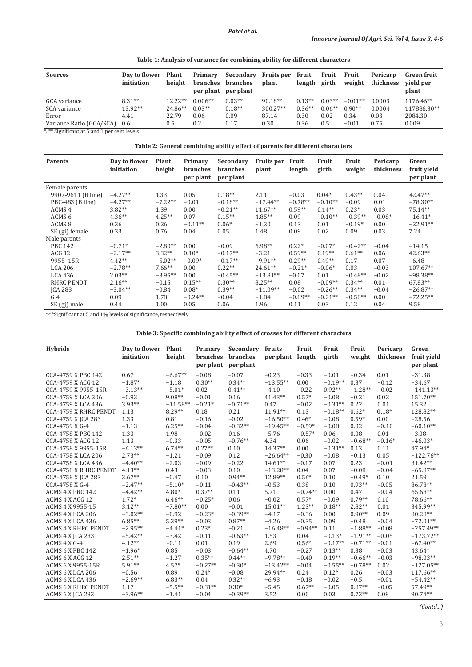| <b>Sources</b>                      | Day to flower<br>initiation | <b>Plant</b><br>height | Primary<br>branches | Secondary<br><b>branches</b><br>per plant per plant | Fruits per Fruit<br>plant | length   | Fruit<br>girth | Fruit<br>weight | Pericarp<br>thickness | <b>Green fruit</b><br>vield per<br>plant |
|-------------------------------------|-----------------------------|------------------------|---------------------|-----------------------------------------------------|---------------------------|----------|----------------|-----------------|-----------------------|------------------------------------------|
| GCA variance                        | $8.31**$                    | $12.22**$              | $0.006**$           | $0.03**$                                            | $90.18**$                 | $0.13**$ | $0.03**$       | $-0.01**$       | 0.0003                | 1176.46**                                |
| SCA variance                        | 13.92**                     | 24.86**                | $0.03**$            | $0.18**$                                            | $300.27**$                | $0.36**$ | $0.06**$       | $0.90**$        | 0.0004                | 117886.30**                              |
| Error                               | 4.41                        | 22.79                  | 0.06                | 0.09                                                | 87.14                     | 0.30     | 0.02           | 0.34            | 0.03                  | 2084.30                                  |
| Variance Ratio (GCA/SCA)<br>_______ | $0.6^{\circ}$               | 0.5                    | 0.2                 | 0.17                                                | 0.30                      | 0.36     | 0.5            | $-0.01$         | 0.75                  | 0.009                                    |

\*, \*\* Significant at 5 and 1 per cent levels

**Table 2: General combining ability effect of parents for different characters**

| <b>Parents</b>     | Day to flower<br>initiation | Plant<br>height | Primary<br><b>branches</b><br>per plant | Secondary<br>branches<br>per plant | <b>Fruits per</b><br>plant | Fruit<br>length | Fruit<br>girth | Fruit<br>weight | Pericarp<br>thickness | Green<br>fruit yield<br>per plant |
|--------------------|-----------------------------|-----------------|-----------------------------------------|------------------------------------|----------------------------|-----------------|----------------|-----------------|-----------------------|-----------------------------------|
| Female parents     |                             |                 |                                         |                                    |                            |                 |                |                 |                       |                                   |
| 9907-9611 (B line) | $-4.27**$                   | 1.33            | 0.05                                    | $0.18**$                           | 2.11                       | $-0.03$         | $0.04*$        | $0.43**$        | 0.04                  | $42.47**$                         |
| PBC-483 (B line)   | $-4.27**$                   | $-7.22**$       | $-0.01$                                 | $-0.18**$                          | $-17.44**$                 | $-0.78**$       | $-0.10**$      | $-0.09$         | 0.01                  | $-78.30**$                        |
| ACMS <sub>4</sub>  | $3.82**$                    | 1.39            | 0.00                                    | $-0.21**$                          | $11.67**$                  | $0.59**$        | $0.14**$       | $0.23*$         | 0.03                  | $75.14**$                         |
| ACMS <sub>6</sub>  | $4.36**$                    | $4.25**$        | 0.07                                    | $0.15**$                           | $4.85**$                   | 0.09            | $-0.10**$      | $-0.39**$       | $-0.08*$              | $-16.41*$                         |
| ACMS <sub>8</sub>  | 0.36                        | 0.26            | $-0.11**$                               | $0.06*$                            | $-1.20$                    | 0.13            | 0.01           | $-0.19*$        | 0.00                  | $-22.91**$                        |
| SE (gi) female     | 0.33                        | 0.76            | 0.04                                    | 0.05                               | 1.48                       | 0.09            | 0.02           | 0.09            | 0.03                  | 7.24                              |
| Male parents       |                             |                 |                                         |                                    |                            |                 |                |                 |                       |                                   |
| <b>PBC 142</b>     | $-0.71*$                    | $-2.80**$       | 0.00                                    | $-0.09$                            | $6.98**$                   | $0.22*$         | $-0.07*$       | $-0.42**$       | $-0.04$               | $-14.15$                          |
| <b>ACG 12</b>      | $-2.17**$                   | $3.32**$        | $0.10*$                                 | $-0.17**$                          | $-3.21$                    | $0.59**$        | $0.19**$       | $0.61**$        | 0.06                  | $42.63**$                         |
| 9955-15R           | $4.42**$                    | $-5.02**$       | $-0.09*$                                | $-0.17**$                          | $-9.91**$                  | $0.29**$        | $0.49**$       | 0.17            | 0.07                  | $-6.48$                           |
| <b>LCA 206</b>     | $-2.78**$                   | $7.66**$        | 0.00                                    | $0.22**$                           | $24.61**$                  | $-0.21*$        | $-0.06*$       | 0.03            | $-0.03$               | 107.67**                          |
| LCA 436            | $2.03**$                    | $-3.95**$       | 0.00                                    | $-0.45**$                          | $-13.81**$                 | $-0.07$         | 0.01           | $-0.48**$       | $-0.02$               | $-98.38**$                        |
| <b>RHRC PENDT</b>  | $2.16**$                    | $-0.15$         | $0.15**$                                | $0.30**$                           | $8.25**$                   | 0.08            | $-0.09**$      | $0.34**$        | 0.01                  | 67.83**                           |
| <b>ICA 283</b>     | $-3.04**$                   | $-0.84$         | $0.08*$                                 | $0.39**$                           | $-11.09**$                 | $-0.02$         | $-0.26**$      | $0.34**$        | $-0.04$               | $-26.87**$                        |
| G <sub>4</sub>     | 0.09                        | 1.78            | $-0.24**$                               | $-0.04$                            | $-1.84$                    | $-0.89**$       | $-0.21**$      | $-0.58**$       | 0.00                  | $-72.25**$                        |
| SE (gj) male       | 0.44                        | 1.00            | 0.05                                    | 0.06                               | 1.96                       | 0.11            | 0.03           | 0.12            | 0.04                  | 9.58                              |

\*, \*\*Significant at 5 and 1% levels of significance, respectively

**Table 3: Specific combining ability effect of crosses for different characters**

| <b>Hybrids</b>               | Day to flower | Plant      | Primary   | Secondary | <b>Fruits</b> | Fruit     | Fruit     | Fruit     | Pericarp  | Green       |
|------------------------------|---------------|------------|-----------|-----------|---------------|-----------|-----------|-----------|-----------|-------------|
|                              | initiation    | height     | branches  | branches  | per plant     | length    | girth     | weight    | thickness | fruit yield |
|                              |               |            | per plant | per plant |               |           |           |           |           | per plant   |
| CCA-4759 X PBC 142           | 0.67          | $-6.67**$  | $-0.08$   | $-0.07$   | $-0.23$       | $-0.33$   | $-0.01$   | $-0.34$   | 0.01      | $-31.38$    |
| CCA-4759 X ACG 12            | $-1.87*$      | $-1.18$    | $0.30**$  | $0.34**$  | $-13.55**$    | 0.00      | $-0.19**$ | 0.37      | $-0.12$   | $-34.67$    |
| CCA-4759 X 9955-15R          | $-3.13**$     | $-5.01*$   | 0.02      | $0.41**$  | $-4.10$       | $-0.22$   | $0.92**$  | $-1.28**$ | $-0.02$   | $-141.13**$ |
| CCA-4759 X LCA 206           | $-0.93$       | $9.08**$   | $-0.01$   | 0.16      | $41.43**$     | $0.57*$   | $-0.08$   | $-0.21$   | 0.03      | 151.70**    |
| CCA-4759 X LCA 436           | $3.93**$      | $-11.58**$ | $-0.21*$  | $-0.71**$ | 0.47          | $-0.02$   | $-0.31**$ | 0.22      | 0.01      | 15.32       |
| <b>CCA-4759 X RHRC PENDT</b> | 1.13          | $8.29**$   | 0.18      | 0.21      | $11.91**$     | 0.13      | $-0.18**$ | $0.62*$   | $0.18*$   | 128.82**    |
| CCA-4759 X JCA 283           | 1.33          | 0.81       | $-0.16$   | $-0.02$   | $-16.50**$    | $0.46*$   | $-0.08$   | $0.59*$   | 0.00      | $-28.56$    |
| CCA-4759 X G-4               | $-1.13$       | $6.25**$   | $-0.04$   | $-0.32**$ | $-19.45**$    | $-0.59*$  | $-0.08$   | 0.02      | $-0.10$   | $-60.10**$  |
| CCA-4758 X PBC 142           | 1.33          | 1.98       | $-0.02$   | 0.16      | $-5.76$       | $-0.57*$  | 0.06      | 0.08      | 0.01      | $-3.08$     |
| CCA-4758 X ACG 12            | 1.13          | $-0.33$    | $-0.05$   | $-0.76**$ | 4.34          | 0.06      | $-0.02$   | $-0.68**$ | $-0.16*$  | $-46.03*$   |
| CCA-4758 X 9955-15R          | $-6.13**$     | $6.74**$   | $0.27**$  | 0.10      | $14.37**$     | 0.00      | $-0.31**$ | 0.13      | 0.11      | 47.94*      |
| CCA-4758 X LCA 206           | $2.73**$      | $-1.21$    | $-0.09$   | 0.12      | $-26.64**$    | $-0.30$   | $-0.08$   | $-0.13$   | 0.05      | $-122.76**$ |
| CCA-4758 X LCA 436           | $-4.40**$     | $-2.03$    | $-0.09$   | $-0.22$   | $14.61**$     | $-0.17$   | 0.07      | 0.23      | $-0.01$   | 81.42**     |
| <b>CCA-4758 X RHRC PENDT</b> | $4.13**$      | 0.43       | $-0.03$   | 0.10      | $-13.28**$    | 0.04      | 0.07      | $-0.08$   | $-0.04$   | $-65.87**$  |
| CCA-4758 X JCA 283           | $3.67**$      | $-0.47$    | 0.10      | $0.94**$  | 12.89**       | $0.56*$   | 0.10      | $-0.49*$  | 0.10      | 21.59       |
| CCA-4758 X G-4               | $-2.47**$     | $-5.10*$   | $-0.11$   | $-0.43**$ | $-0.53$       | 0.38      | 0.10      | $0.93**$  | $-0.05$   | 86.78**     |
| ACMS 4 X PBC 142             | $-4.42**$     | $4.80*$    | $0.37**$  | 0.11      | 5.71          | $-0.74**$ | 0.00      | 0.47      | $-0.04$   | 65.68**     |
| ACMS 4 X ACG 12              | $1.72*$       | $6.46**$   | $-0.25*$  | 0.06      | $-0.02$       | $0.57*$   | $-0.09$   | $0.79**$  | 0.10      | 78.66**     |
| ACMS 4 X 9955-15             | $3.12**$      | $-7.80**$  | 0.00      | $-0.01$   | $15.01**$     | $1.23**$  | $0.18**$  | $2.82**$  | 0.01      | 345.99**    |
| ACMS 4 X LCA 206             | $-3.02**$     | $-0.92$    | $-0.23*$  | $-0.39**$ | $-4.17$       | $-0.36$   | 0.00      | $0.90**$  | 0.09      | 80.28**     |
| ACMS 4 X LCA 436             | $6.85**$      | $5.39**$   | $-0.03$   | $0.87**$  | $-4.26$       | $-0.35$   | 0.09      | $-0.48$   | $-0.04$   | $-72.01**$  |
| <b>ACMS 4 X RHRC PENDT</b>   | $-2.95**$     | $-4.41*$   | $0.23*$   | $-0.21$   | $-16.48**$    | $-0.94**$ | 0.11      | $-1.88**$ | $-0.08$   | $-257.49**$ |
| ACMS 4 X JCA 283             | $-5.42**$     | $-3.42$    | $-0.11$   | $-0.63**$ | 1.53          | 0.04      | $-0.13*$  | $-1.91**$ | $-0.05$   | $-173.72**$ |
| $ACMS 4 X G-4$               | $4.12**$      | $-0.11$    | 0.01      | 0.19      | 2.69          | $0.56*$   | $-0.17**$ | $-0.71**$ | $-0.01$   | $-67.40**$  |
| ACMS 6 X PBC 142             | $-1.96*$      | 0.85       | $-0.03$   | $-0.64**$ | 4.70          | $-0.27$   | $0.13**$  | 0.38      | $-0.03$   | 43.64*      |
| ACMS 6 X ACG 12              | $2.51**$      | $-1.27$    | $0.35**$  | $0.44**$  | $-9.78**$     | $-0.40$   | $0.19**$  | $-0.66**$ | $-0.03$   | $-98.03**$  |
| ACMS 6 X 9955-15R            | $5.91**$      | $4.57*$    | $-0.27**$ | $-0.30*$  | $-13.42**$    | $-0.04$   | $-0.55**$ | $-0.78**$ | 0.02      | $-127.05**$ |
| ACMS 6 X LCA 206             | $-0.56$       | 0.89       | $0.24*$   | $-0.08$   | 29.94**       | 0.24      | $0.12*$   | 0.26      | $-0.03$   | 117.66**    |
| ACMS 6 X LCA 436             | $-2.69**$     | $6.83**$   | 0.04      | $0.32**$  | $-6.93$       | $-0.18$   | $-0.02$   | $-0.5$    | $-0.01$   | $-54.42**$  |
| <b>ACMS 6 X RHRC PENDT</b>   | 1.17          | $-5.5**$   | $-0.31**$ | $0.30*$   | $-5.45$       | $0.67**$  | $-0.05$   | $0.87**$  | $-0.05$   | 57.49**     |
| ACMS 6 X JCA 283             | $-3.96**$     | $-1.41$    | $-0.04$   | $-0.39**$ | 3.52          | 0.00      | 0.03      | $0.73**$  | 0.08      | 90.74**     |

*(Contd...)*